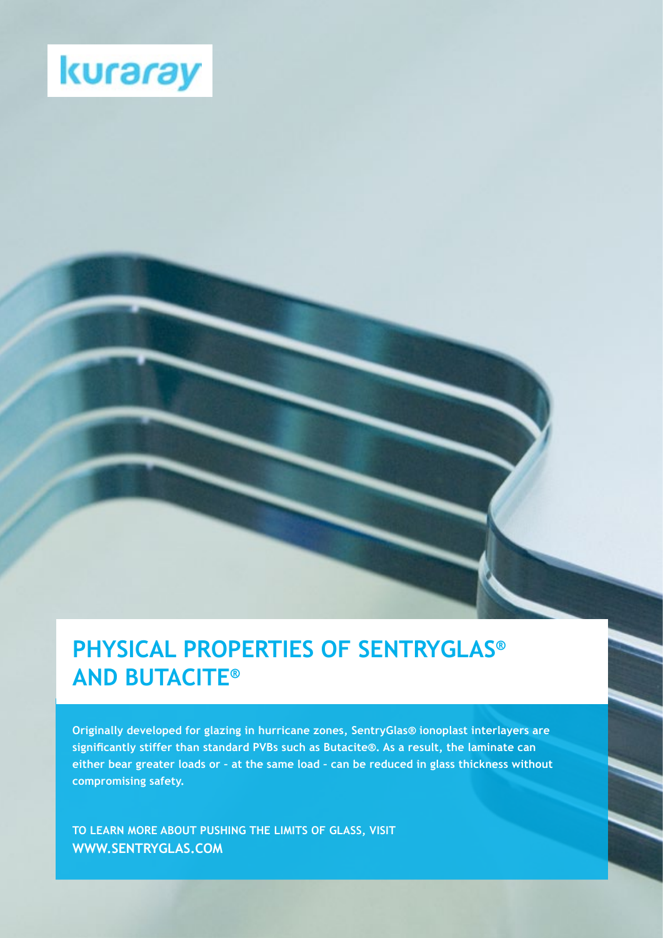

# **PHYSICAL PROPERTIES OF SENTRYGLAS® AND BUTACITE®**

**Originally developed for glazing in hurricane zones, SentryGlas® ionoplast interlayers are significantly stiffer than standard PVBs such as Butacite®. As a result, the laminate can either bear greater loads or – at the same load – can be reduced in glass thickness without compromising safety.**

**TO LEARN MORE ABOUT PUSHING THE LIMITS OF GLASS, VISIT WWW.SENTRYGLAS.COM**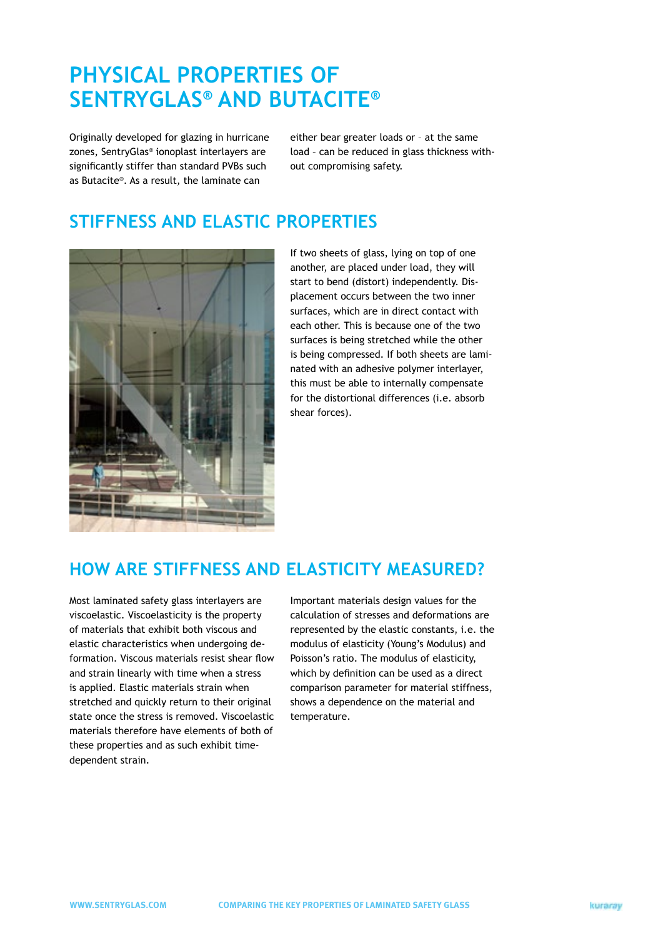# **PHYSICAL PROPERTIES OF SENTRYGLAS® AND BUTACITE®**

Originally developed for glazing in hurricane zones, SentryGlas® ionoplast interlayers are significantly stiffer than standard PVBs such as Butacite®. As a result, the laminate can

either bear greater loads or – at the same load – can be reduced in glass thickness without compromising safety.

### **STIFFNESS AND ELASTIC PROPERTIES**



If two sheets of glass, lying on top of one another, are placed under load, they will start to bend (distort) independently. Displacement occurs between the two inner surfaces, which are in direct contact with each other. This is because one of the two surfaces is being stretched while the other is being compressed. If both sheets are laminated with an adhesive polymer interlayer, this must be able to internally compensate for the distortional differences (i.e. absorb shear forces).

### **HOW ARE STIFFNESS AND ELASTICITY MEASURED?**

Most laminated safety glass interlayers are viscoelastic. Viscoelasticity is the property of materials that exhibit both viscous and elastic characteristics when undergoing deformation. Viscous materials resist shear flow and strain linearly with time when a stress is applied. Elastic materials strain when stretched and quickly return to their original state once the stress is removed. Viscoelastic materials therefore have elements of both of these properties and as such exhibit timedependent strain.

Important materials design values for the calculation of stresses and deformations are represented by the elastic constants, i.e. the modulus of elasticity (Young's Modulus) and Poisson's ratio. The modulus of elasticity, which by definition can be used as a direct comparison parameter for material stiffness, shows a dependence on the material and temperature.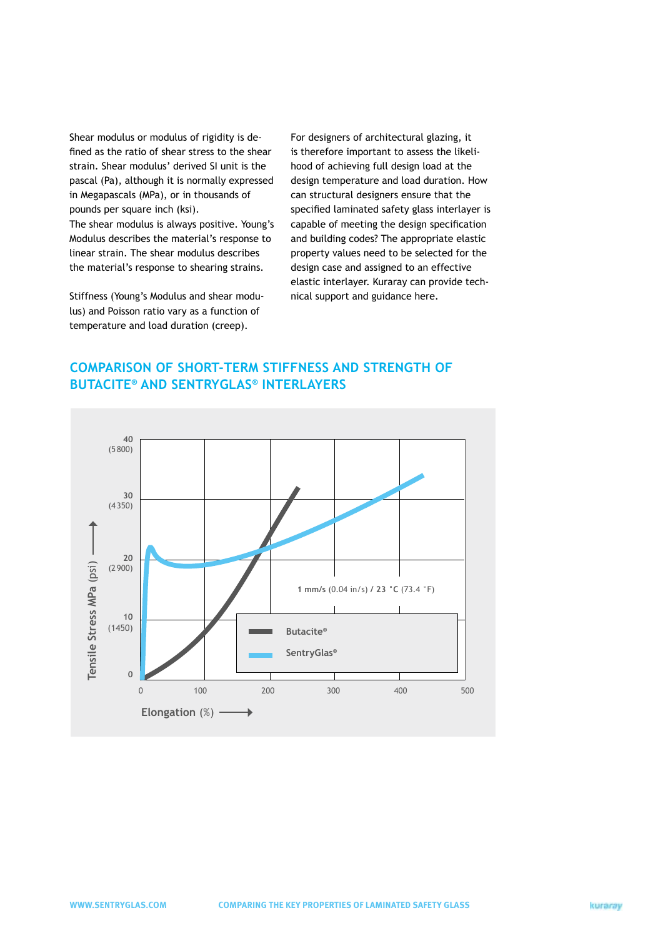Shear modulus or modulus of rigidity is defined as the ratio of shear stress to the shear strain. Shear modulus' derived SI unit is the pascal (Pa), although it is normally expressed in Megapascals (MPa), or in thousands of pounds per square inch (ksi).

The shear modulus is always positive. Young's Modulus describes the material's response to linear strain. The shear modulus describes the material's response to shearing strains.

Stiffness (Young's Modulus and shear modulus) and Poisson ratio vary as a function of temperature and load duration (creep).

For designers of architectural glazing, it is therefore important to assess the likelihood of achieving full design load at the design temperature and load duration. How can structural designers ensure that the specified laminated safety glass interlayer is capable of meeting the design specification and building codes? The appropriate elastic property values need to be selected for the design case and assigned to an effective elastic interlayer. Kuraray can provide technical support and guidance here.

## **COMPARISON OF SHORT-TERM STIFFNESS AND STRENGTH OF BUTACITE® AND SENTRYGLAS® INTERLAYERS**

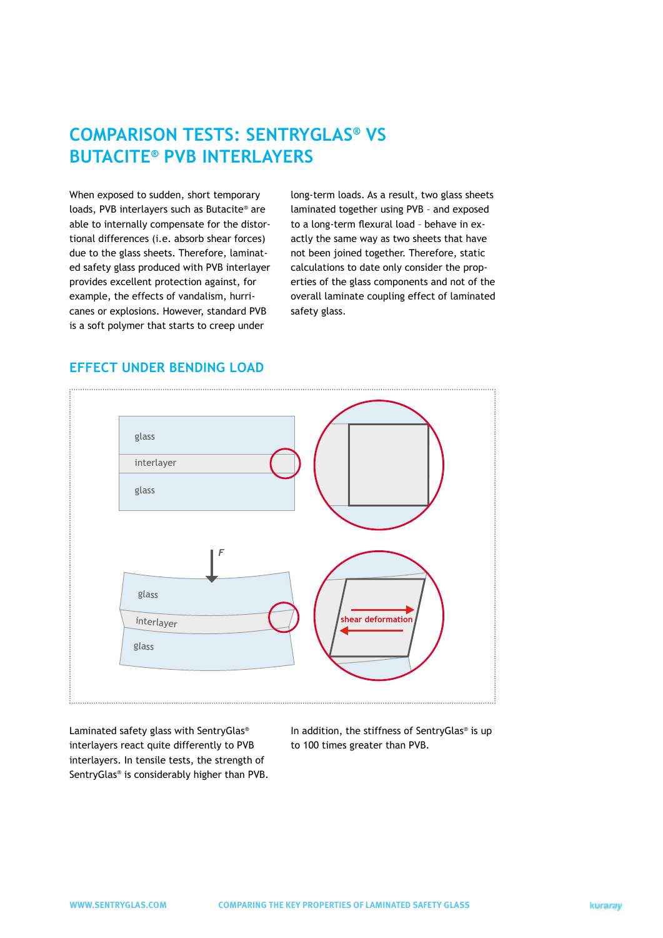### **COMPARISON TESTS: SENTRYGLAS® VS BUTACITE® PVB INTERLAYERS**

When exposed to sudden, short temporary loads, PVB interlayers such as Butacite® are able to internally compensate for the distortional differences (i.e. absorb shear forces) due to the glass sheets. Therefore, laminated safety glass produced with PVB interlayer provides excellent protection against, for example, the effects of vandalism, hurricanes or explosions. However, standard PVB is a soft polymer that starts to creep under

long-term loads. As a result, two glass sheets laminated together using PVB – and exposed to a long-term flexural load – behave in exactly the same way as two sheets that have not been joined together. Therefore, static calculations to date only consider the properties of the glass components and not of the overall laminate coupling effect of laminated safety glass.

### **EFFECT UNDER BENDING LOAD**



Laminated safety glass with SentryGlas® interlayers react quite differently to PVB interlayers. In tensile tests, the strength of SentryGlas® is considerably higher than PVB.

In addition, the stiffness of SentryGlas® is up to 100 times greater than PVB.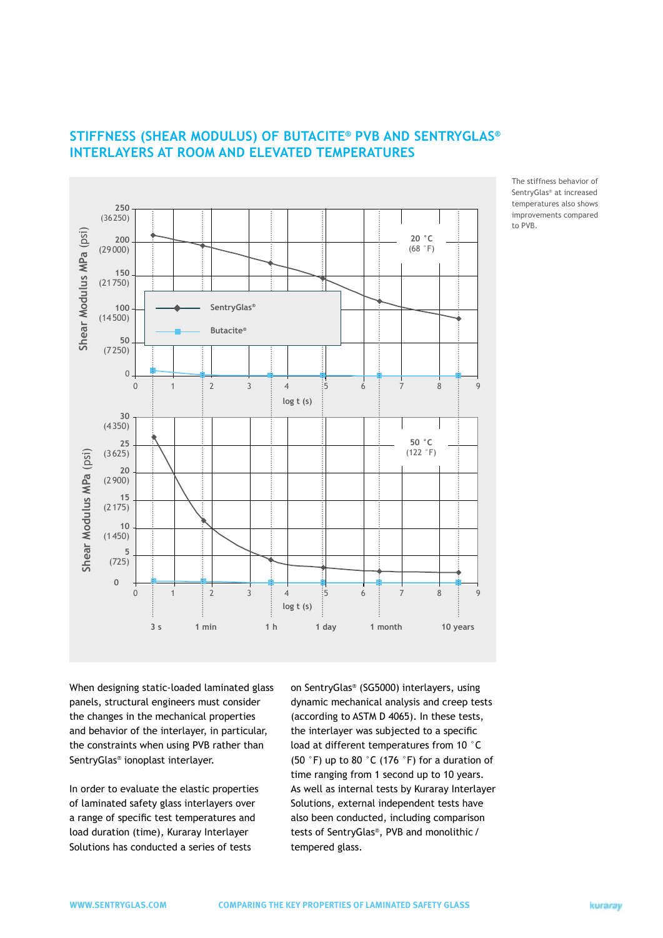

### **STIFFNESS (SHEAR MODULUS) OF BUTACITE® PVB AND SENTRYGLAS® INTERLAYERS AT ROOM AND ELEVATED TEMPERATURES**

When designing static-loaded laminated glass panels, structural engineers must consider the changes in the mechanical properties and behavior of the interlayer, in particular, the constraints when using PVB rather than SentryGlas® ionoplast interlayer.

In order to evaluate the elastic properties of laminated safety glass interlayers over a range of specific test temperatures and load duration (time), Kuraray Interlayer Solutions has conducted a series of tests

on SentryGlas® (SG5000) interlayers, using dynamic mechanical analysis and creep tests (according to ASTM D 4065). In these tests, the interlayer was subjected to a specific load at different temperatures from 10 °C (50 °F) up to 80 °C (176 °F) for a duration of time ranging from 1 second up to 10 years. As well as internal tests by Kuraray Interlayer Solutions, external independent tests have also been conducted, including comparison tests of SentryGlas®, PVB and monolithic/ tempered glass.

The stiffness behavior of SentryGlas® at increased temperatures also shows improvements compared to PVB.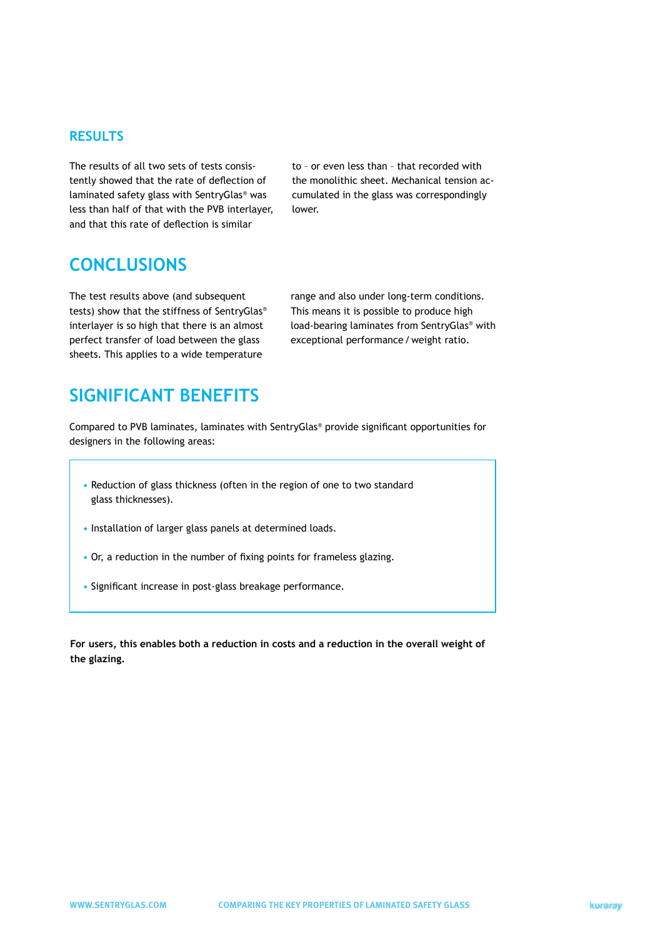#### **RESULTS**

The results of all two sets of tests consistently showed that the rate of deflection of laminated safety glass with SentryGlas® was less than half of that with the PVB interlayer, and that this rate of deflection is similar

to – or even less than – that recorded with the monolithic sheet. Mechanical tension accumulated in the glass was correspondingly lower.

### **CONCLUSIONS**

The test results above (and subsequent tests) show that the stiffness of SentryGlas® interlayer is so high that there is an almost perfect transfer of load between the glass sheets. This applies to a wide temperature

range and also under long-term conditions. This means it is possible to produce high load-bearing laminates from SentryGlas® with exceptional performance/weight ratio.

## **SIGNIFICANT BENEFITS**

Compared to PVB laminates, laminates with SentryGlas® provide significant opportunities for designers in the following areas:

- Reduction of glass thickness (often in the region of one to two standard glass thicknesses).
- Installation of larger glass panels at determined loads.
- Or, a reduction in the number of fixing points for frameless glazing.
- Significant increase in post-glass breakage performance.

**For users, this enables both a reduction in costs and a reduction in the overall weight of the glazing.**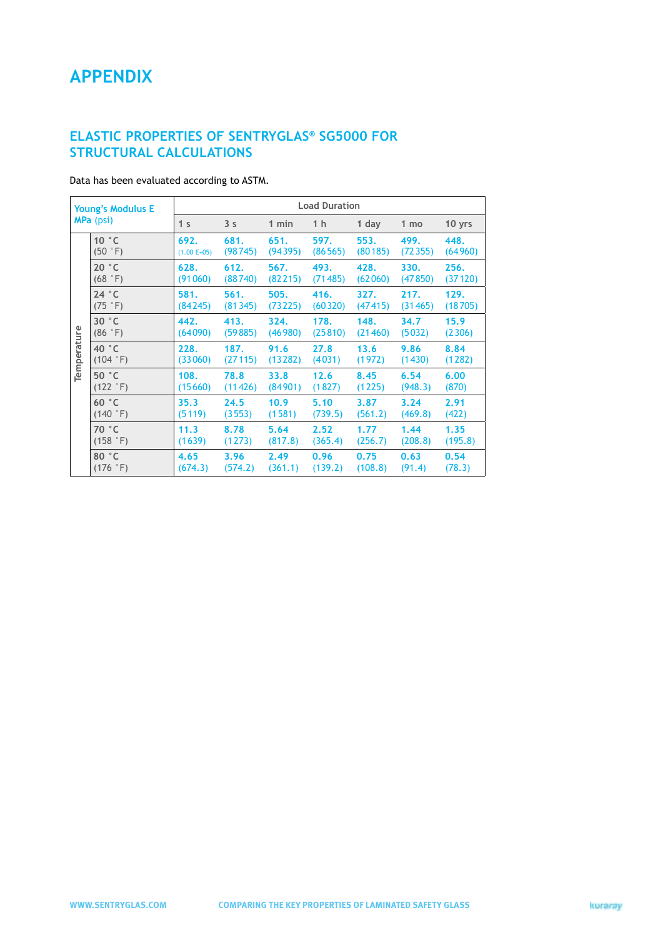## **APPENDIX**

### **ELASTIC PROPERTIES OF SENTRYGLAS® SG5000 FOR STRUCTURAL CALCULATIONS**

Data has been evaluated according to ASTM.

| <b>Young's Modulus E</b><br>MPa (psi) |                            | <b>Load Duration</b>  |                 |                 |                 |                 |                 |                 |  |
|---------------------------------------|----------------------------|-----------------------|-----------------|-----------------|-----------------|-----------------|-----------------|-----------------|--|
|                                       |                            | 1 <sub>s</sub>        | 3 <sub>s</sub>  | 1 min           | 1 h             | 1 day           | 1 mo            | 10 yrs          |  |
| Temperature                           | 10 °C<br>(50 °F)           | 692.<br>$(1.00 E+05)$ | 681.<br>(98745) | 651.<br>(94395) | 597.<br>(86565) | 553.<br>(80185) | 499.<br>(72355) | 448.<br>(64960) |  |
|                                       | 20 °C<br>(68 °F)           | 628.<br>(91060)       | 612.<br>(88740) | 567.<br>(82215) | 493.<br>(71485) | 428.<br>(62060) | 330.<br>(47850) | 256.<br>(37120) |  |
|                                       | 24 °C<br>(75 °F)           | 581.<br>(84245)       | 561.<br>(81345) | 505.<br>(73225) | 416.<br>(60320) | 327.<br>(47415) | 217.<br>(31465) | 129.<br>(18705) |  |
|                                       | 30 °C<br>(86 °F)           | 442.<br>(64090)       | 413.<br>(59885) | 324.<br>(46980) | 178.<br>(25810) | 148.<br>(21460) | 34.7<br>(5032)  | 15.9<br>(2306)  |  |
|                                       | 40 °C<br>$(104 \degree F)$ | 228.<br>(33060)       | 187.<br>(27115) | 91.6<br>(13282) | 27.8<br>(4031)  | 13.6<br>(1972)  | 9.86<br>(1430)  | 8.84<br>(1282)  |  |
|                                       | 50 °C<br>$(122 \degree F)$ | 108.<br>(15660)       | 78.8<br>(11426) | 33.8<br>(84901) | 12.6<br>(1827)  | 8.45<br>(1225)  | 6.54<br>(948.3) | 6.00<br>(870)   |  |
|                                       | 60 °C<br>$(140 \degree F)$ | 35.3<br>(5119)        | 24.5<br>(3553)  | 10.9<br>(1581)  | 5.10<br>(739.5) | 3.87<br>(561.2) | 3.24<br>(469.8) | 2.91<br>(422)   |  |
|                                       | 70 °C<br>(158 °F)          | 11.3<br>(1639)        | 8.78<br>(1273)  | 5.64<br>(817.8) | 2.52<br>(365.4) | 1.77<br>(256.7) | 1.44<br>(208.8) | 1.35<br>(195.8) |  |
|                                       | 80 °C<br>(176 °F)          | 4.65<br>(674.3)       | 3.96<br>(574.2) | 2.49<br>(361.1) | 0.96<br>(139.2) | 0.75<br>(108.8) | 0.63<br>(91.4)  | 0.54<br>(78.3)  |  |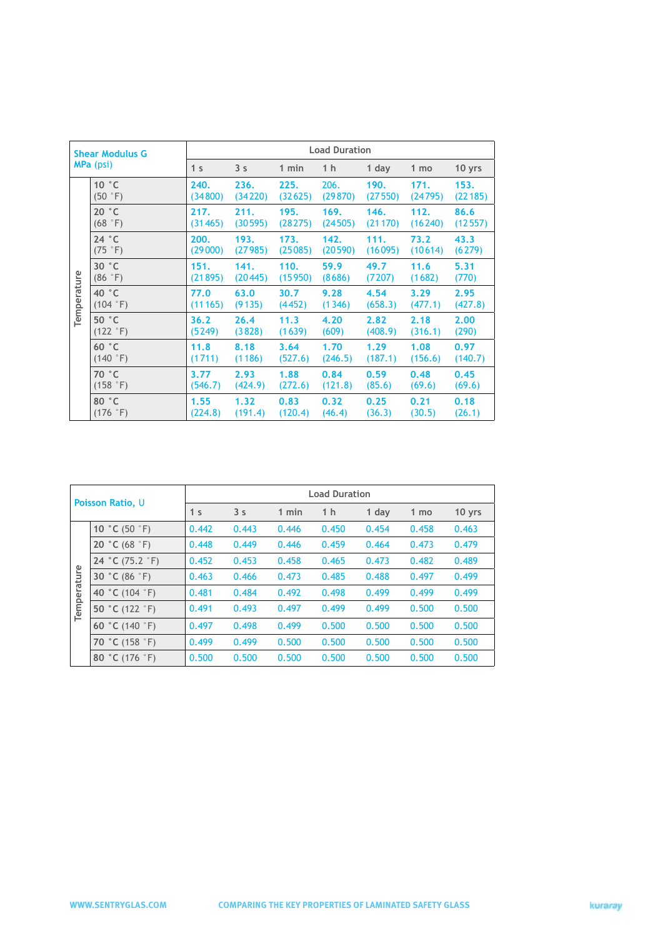| <b>Shear Modulus G</b><br>MPa (psi) |                                    | <b>Load Duration</b> |                 |                 |                 |                 |                 |                 |  |
|-------------------------------------|------------------------------------|----------------------|-----------------|-----------------|-----------------|-----------------|-----------------|-----------------|--|
|                                     |                                    | 1 <sub>s</sub>       | 3 <sub>s</sub>  | 1 min           | 1 h             | 1 day           | 1 mo            | 10 yrs          |  |
| Temperature                         | 10 °C<br>(50 °F)                   | 240.<br>(34800)      | 236.<br>(34220) | 225.<br>(32625) | 206.<br>(29870) | 190.<br>(27550) | 171.<br>(24795) | 153.<br>(22185) |  |
|                                     | 20 °C<br>(68°F)                    | 217.<br>(31465)      | 211.<br>(30595) | 195.<br>(28275) | 169.<br>(24505) | 146.<br>(21170) | 112.<br>(16240) | 86.6<br>(12557) |  |
|                                     | 24 °C<br>$(75 \degree F)$          | 200.<br>(29000)      | 193.<br>(27985) | 173.<br>(25085) | 142.<br>(20590) | 111.<br>(16095) | 73.2<br>(10614) | 43.3<br>(6279)  |  |
|                                     | 30 °C<br>(86 °F)                   | 151.<br>(21895)      | 141.<br>(20445) | 110.<br>(15950) | 59.9<br>(8686)  | 49.7<br>(7207)  | 11.6<br>(1682)  | 5.31<br>(770)   |  |
|                                     | 40 °C<br>$(104 \degree F)$         | 77.0<br>(11165)      | 63.0<br>(9135)  | 30.7<br>(4452)  | 9.28<br>(1346)  | 4.54<br>(658.3) | 3.29<br>(477.1) | 2.95<br>(427.8) |  |
|                                     | 50 °C<br>$(122 \degree F)$         | 36.2<br>(5249)       | 26.4<br>(3828)  | 11.3<br>(1639)  | 4.20<br>(609)   | 2.82<br>(408.9) | 2.18<br>(316.1) | 2.00<br>(290)   |  |
|                                     | 60 °C<br>(140 °F)                  | 11.8<br>(1711)       | 8.18<br>(1186)  | 3.64<br>(527.6) | 1.70<br>(246.5) | 1.29<br>(187.1) | 1.08<br>(156.6) | 0.97<br>(140.7) |  |
|                                     | 70 °C<br>$(158 \text{ }^{\circ}F)$ | 3.77<br>(546.7)      | 2.93<br>(424.9) | 1.88<br>(272.6) | 0.84<br>(121.8) | 0.59<br>(85.6)  | 0.48<br>(69.6)  | 0.45<br>(69.6)  |  |
|                                     | 80 °C<br>(176 °F)                  | 1.55<br>(224.8)      | 1.32<br>(191.4) | 0.83<br>(120.4) | 0.32<br>(46.4)  | 0.25<br>(36.3)  | 0.21<br>(30.5)  | 0.18<br>(26.1)  |  |

| <b>Poisson Ratio, U</b> |                          | <b>Load Duration</b> |                |       |                |       |       |        |  |
|-------------------------|--------------------------|----------------------|----------------|-------|----------------|-------|-------|--------|--|
|                         |                          | 1 <sub>s</sub>       | 3 <sub>s</sub> | 1 min | 1 <sub>h</sub> | 1 day | 1 mo  | 10 yrs |  |
| Temperature             | 10 °C (50 $\degree$ F)   | 0.442                | 0.443          | 0.446 | 0.450          | 0.454 | 0.458 | 0.463  |  |
|                         | 20 °C (68 $\degree$ F)   | 0.448                | 0.449          | 0.446 | 0.459          | 0.464 | 0.473 | 0.479  |  |
|                         | 24 °C (75.2 $\degree$ F) | 0.452                | 0.453          | 0.458 | 0.465          | 0.473 | 0.482 | 0.489  |  |
|                         | 30 °C (86 $\degree$ F)   | 0.463                | 0.466          | 0.473 | 0.485          | 0.488 | 0.497 | 0.499  |  |
|                         | 40 °C (104 °F)           | 0.481                | 0.484          | 0.492 | 0.498          | 0.499 | 0.499 | 0.499  |  |
|                         | 50 °C (122 $\degree$ F)  | 0.491                | 0.493          | 0.497 | 0.499          | 0.499 | 0.500 | 0.500  |  |
|                         | 60 °C (140 $\degree$ F)  | 0.497                | 0.498          | 0.499 | 0.500          | 0.500 | 0.500 | 0.500  |  |
|                         | 70 °C (158 $\degree$ F)  | 0.499                | 0.499          | 0.500 | 0.500          | 0.500 | 0.500 | 0.500  |  |
|                         | 80 °C (176 °F)           | 0.500                | 0.500          | 0.500 | 0.500          | 0.500 | 0.500 | 0.500  |  |